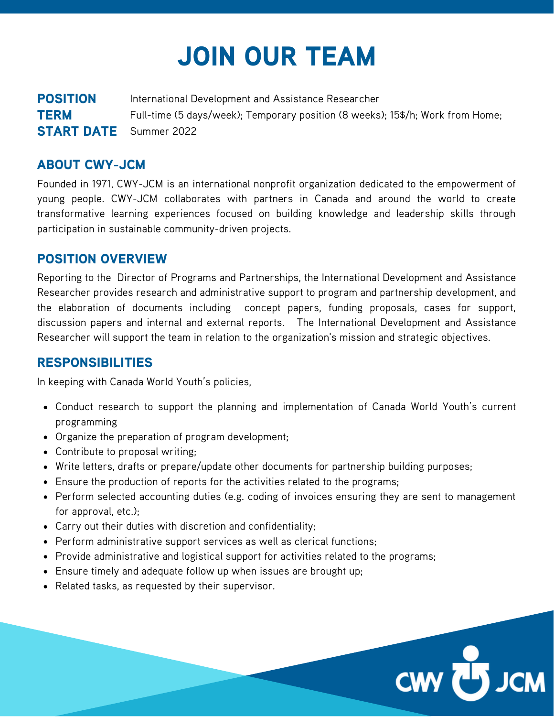# JOIN OUR TEAM

**POSITION** International Development and Assistance Researcher **TERM** Full-time (5 days/week); Temporary position (8 weeks); 15\$/h; Work from Home; **START DATE** Summer 2022

### ABOUT CWY-JCM

Founded in 1971, CWY-JCM is an international nonprofit organization dedicated to the empowerment of young people. CWY-JCM collaborates with partners in Canada and around the world to create transformative learning experiences focused on building knowledge and leadership skills through participation in sustainable community-driven projects.

## POSITION OVERVIEW

Reporting to the Director of Programs and Partnerships, the International Development and Assistance Researcher provides research and administrative support to program and partnership development, and the elaboration of documents including concept papers, funding proposals, cases for support, discussion papers and internal and external reports. The International Development and Assistance Researcher will support the team in relation to the organization's mission and strategic objectives.

# RESPONSIBILITIES

In keeping with Canada World Youth's policies,

- Conduct research to support the planning and implementation of Canada World Youth's current programming
- Organize the preparation of program development;
- Contribute to proposal writing:
- Write letters, drafts or prepare/update other documents for partnership building purposes;
- Ensure the production of reports for the activities related to the programs;
- Perform selected accounting duties (e.g. coding of invoices ensuring they are sent to management for approval, etc.);

CWY CON

- Carry out their duties with discretion and confidentiality;
- Perform administrative support services as well as clerical functions;
- Provide administrative and logistical support for activities related to the programs;
- Ensure timely and adequate follow up when issues are brought up;
- Related tasks, as requested by their supervisor.